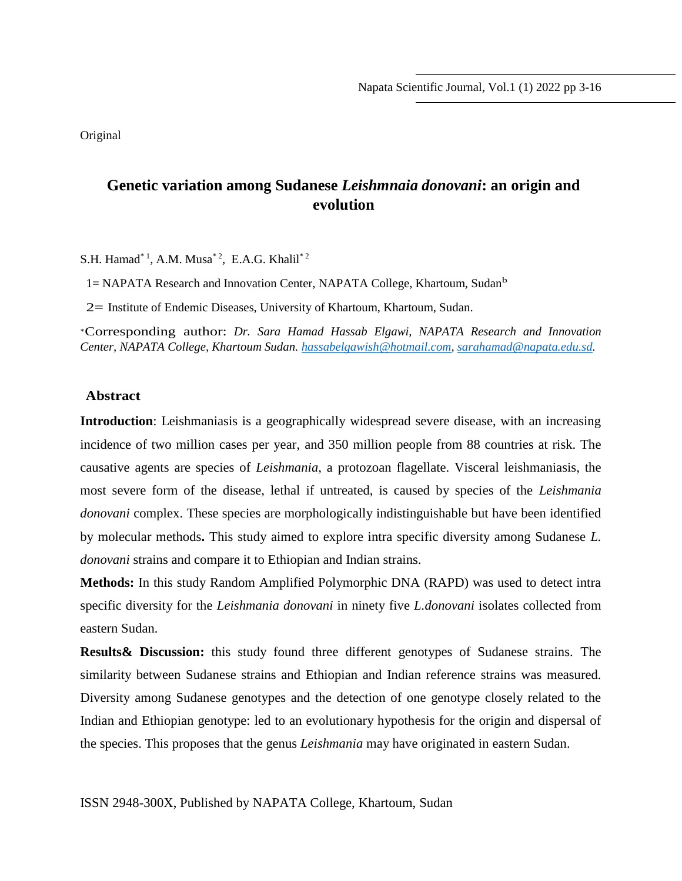Original

## **Genetic variation among Sudanese** *Leishmnaia donovani***: an origin and evolution**

S.H. Hamad\*<sup>1</sup>, A.M. Musa<sup>\*2</sup>, E.A.G. Khalil<sup>\*2</sup>

1= NAPATA Research and Innovation Center, NAPATA College, Khartoum, Sudan<sup>b</sup>

2= Institute of Endemic Diseases, University of Khartoum, Khartoum, Sudan.

<sup>∗</sup>Corresponding author: *Dr. Sara Hamad Hassab Elgawi, NAPATA Research and Innovation Center, NAPATA College, Khartoum Sudan. [hassabelgawish@hotmail.com,](mailto:hassabelgawish@hotmail.com) [sarahamad@napata.edu.sd.](mailto:sarahamad@napata.edu.sd)*

#### **Abstract**

**Introduction**: Leishmaniasis is a geographically widespread severe disease, with an increasing incidence of two million cases per year, and 350 million people from 88 countries at risk. The causative agents are species of *Leishmania*, a protozoan flagellate. Visceral leishmaniasis, the most severe form of the disease, lethal if untreated, is caused by species of the *Leishmania donovani* complex. These species are morphologically indistinguishable but have been identified by molecular methods**.** This study aimed to explore intra specific diversity among Sudanese *L. donovani* strains and compare it to Ethiopian and Indian strains.

**Methods:** In this study Random Amplified Polymorphic DNA (RAPD) was used to detect intra specific diversity for the *Leishmania donovani* in ninety five *L.donovani* isolates collected from eastern Sudan.

**Results& Discussion:** this study found three different genotypes of Sudanese strains. The similarity between Sudanese strains and Ethiopian and Indian reference strains was measured. Diversity among Sudanese genotypes and the detection of one genotype closely related to the Indian and Ethiopian genotype: led to an evolutionary hypothesis for the origin and dispersal of the species. This proposes that the genus *Leishmania* may have originated in eastern Sudan.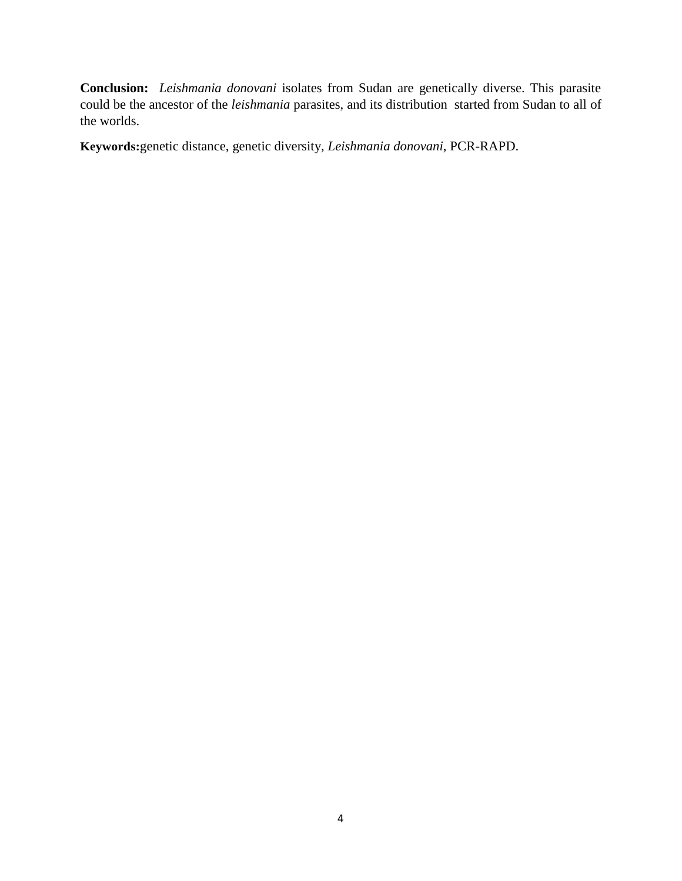**Conclusion:** *Leishmania donovani* isolates from Sudan are genetically diverse. This parasite could be the ancestor of the *leishmania* parasites, and its distribution started from Sudan to all of the worlds.

**Keywords:**genetic distance, genetic diversity*, Leishmania donovani*, PCR-RAPD.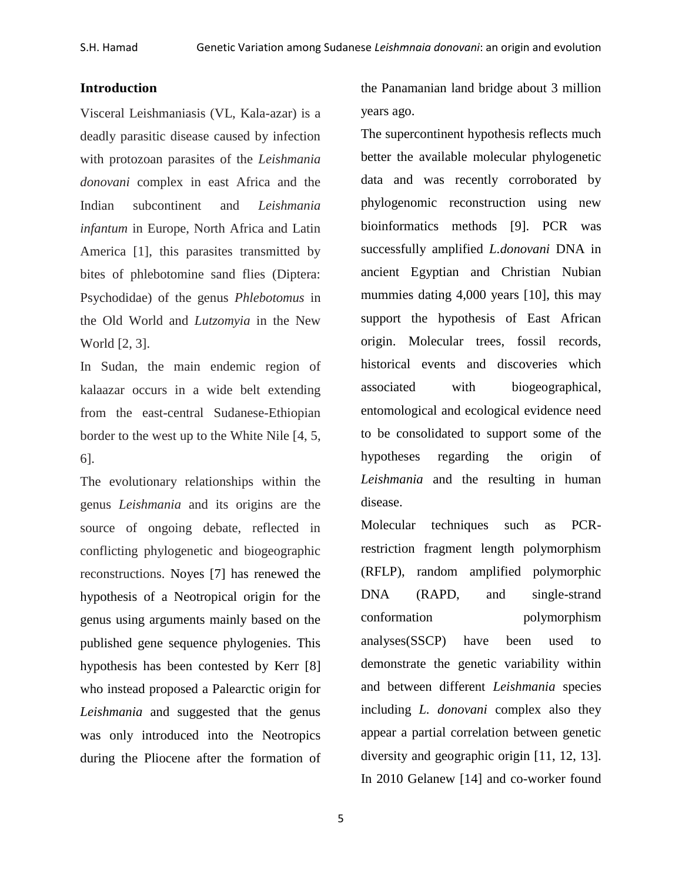#### **Introduction**

Visceral Leishmaniasis (VL, Kala-azar) is a deadly parasitic disease caused by infection with protozoan parasites of the *Leishmania donovani* complex in east Africa and the Indian subcontinent and *Leishmania infantum* in Europe, North Africa and Latin America [1], this parasites transmitted by bites of phlebotomine sand flies (Diptera: Psychodidae) of the genus *Phlebotomus* in the Old World and *Lutzomyia* in the New World [2, 3].

In Sudan, the main endemic region of kalaazar occurs in a wide belt extending from the east-central Sudanese-Ethiopian border to the west up to the White Nile [4, 5, 6].

The evolutionary relationships within the genus *Leishmania* and its origins are the source of ongoing debate, reflected in conflicting phylogenetic and biogeographic reconstructions. Noyes [7] has renewed the hypothesis of a Neotropical origin for the genus using arguments mainly based on the published gene sequence phylogenies. This hypothesis has been contested by Kerr [8] who instead proposed a Palearctic origin for *Leishmania* and suggested that the genus was only introduced into the Neotropics during the Pliocene after the formation of

the Panamanian land bridge about 3 million years ago.

The supercontinent hypothesis reflects much better the available molecular phylogenetic data and was recently corroborated by phylogenomic reconstruction using new bioinformatics methods [9]. PCR was successfully amplified *L.donovani* DNA in ancient Egyptian and Christian Nubian mummies dating 4,000 years [10], this may support the hypothesis of East African origin. Molecular trees, fossil records, historical events and discoveries which associated with biogeographical, entomological and ecological evidence need to be consolidated to support some of the hypotheses regarding the origin of *Leishmania* and the resulting in human disease.

Molecular techniques such as PCRrestriction fragment length polymorphism (RFLP), random amplified polymorphic DNA (RAPD, and single-strand conformation polymorphism analyses(SSCP) have been used to demonstrate the genetic variability within and between different *Leishmania* species including *L. donovani* complex also they appear a partial correlation between genetic diversity and geographic origin [11, 12, 13]. In 2010 Gelanew [14] and co-worker found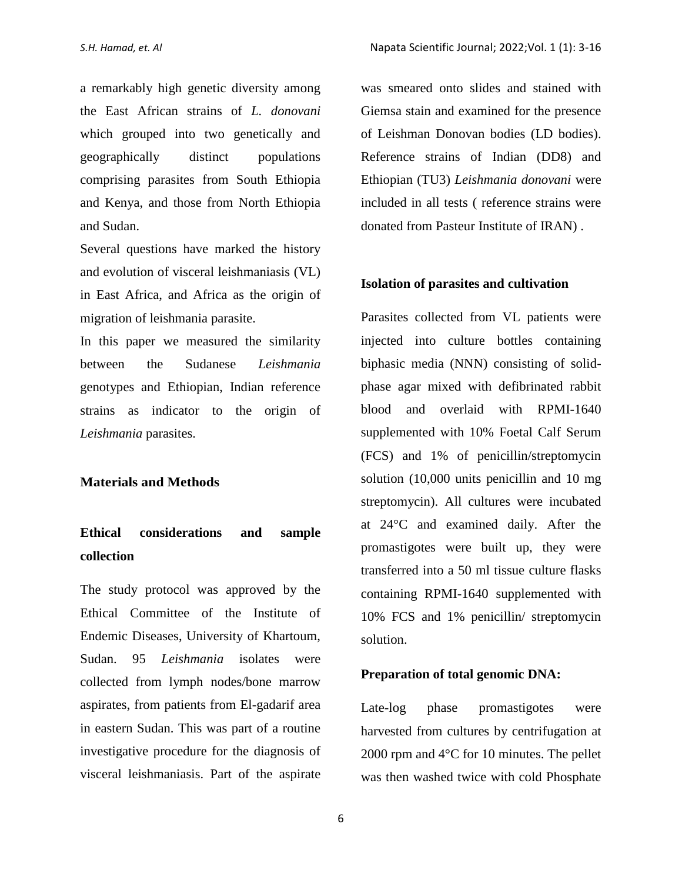a remarkably high genetic diversity among the East African strains of *L. donovani* which grouped into two genetically and geographically distinct populations comprising parasites from South Ethiopia and Kenya, and those from North Ethiopia and Sudan.

Several questions have marked the history and evolution of visceral leishmaniasis (VL) in East Africa, and Africa as the origin of migration of leishmania parasite.

In this paper we measured the similarity between the Sudanese *Leishmania* genotypes and Ethiopian, Indian reference strains as indicator to the origin of *Leishmania* parasites.

#### **Materials and Methods**

# **Ethical considerations and sample collection**

The study protocol was approved by the Ethical Committee of the Institute of Endemic Diseases, University of Khartoum, Sudan. 95 *Leishmania* isolates were collected from lymph nodes/bone marrow aspirates, from patients from El-gadarif area in eastern Sudan. This was part of a routine investigative procedure for the diagnosis of visceral leishmaniasis. Part of the aspirate was smeared onto slides and stained with Giemsa stain and examined for the presence of Leishman Donovan bodies (LD bodies). Reference strains of Indian (DD8) and Ethiopian (TU3) *Leishmania donovani* were included in all tests ( reference strains were donated from Pasteur Institute of IRAN) .

#### **Isolation of parasites and cultivation**

Parasites collected from VL patients were injected into culture bottles containing biphasic media (NNN) consisting of solidphase agar mixed with defibrinated rabbit blood and overlaid with RPMI-1640 supplemented with 10% Foetal Calf Serum (FCS) and 1% of penicillin/streptomycin solution (10,000 units penicillin and 10 mg streptomycin). All cultures were incubated at 24°C and examined daily. After the promastigotes were built up, they were transferred into a 50 ml tissue culture flasks containing RPMI-1640 supplemented with 10% FCS and 1% penicillin/ streptomycin solution.

### **Preparation of total genomic DNA:**

Late-log phase promastigotes were harvested from cultures by centrifugation at 2000 rpm and 4°C for 10 minutes. The pellet was then washed twice with cold Phosphate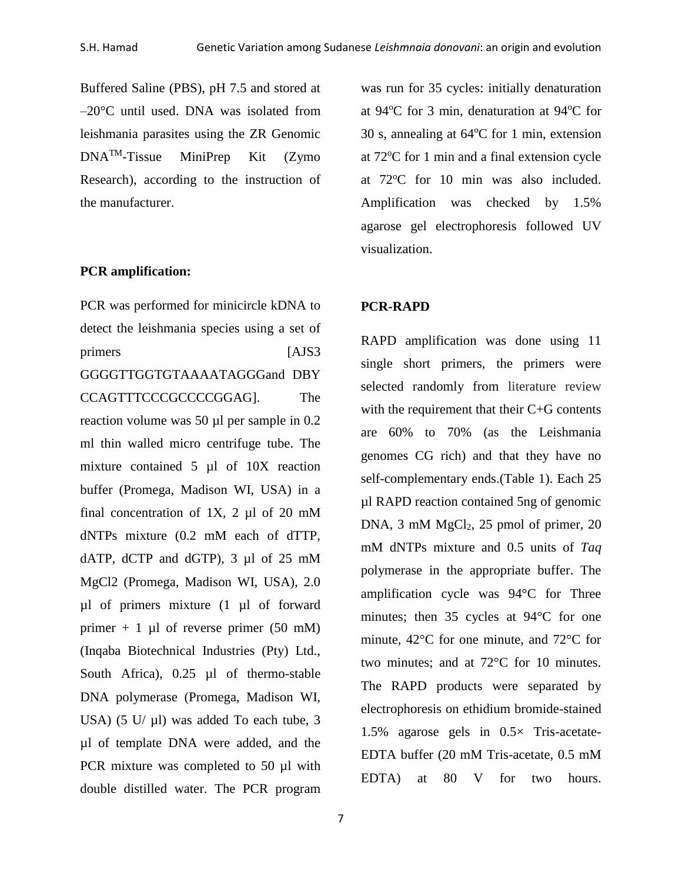Buffered Saline (PBS), pH 7.5 and stored at –20°C until used. DNA was isolated from leishmania parasites using the ZR Genomic DNATM-Tissue MiniPrep Kit (Zymo Research), according to the instruction of the manufacturer.

#### **PCR amplification:**

PCR was performed for minicircle kDNA to detect the leishmania species using a set of primers [AJS3] GGGGTTGGTGTAAAATAGGGand DBY CCAGTTTCCCGCCCCGGAG]. The reaction volume was 50 µl per sample in 0.2 ml thin walled micro centrifuge tube. The mixture contained 5 µl of 10X reaction buffer (Promega, Madison WI, USA) in a final concentration of  $1X$ ,  $2 \mu l$  of  $20 \mu M$ dNTPs mixture (0.2 mM each of dTTP, dATP, dCTP and dGTP), 3 µl of 25 mM MgCl2 (Promega, Madison WI, USA), 2.0 µl of primers mixture (1 µl of forward primer  $+ 1$  µl of reverse primer (50 mM) (Inqaba Biotechnical Industries (Pty) Ltd., South Africa), 0.25 µl of thermo-stable DNA polymerase (Promega, Madison WI, USA) (5 U/ $\mu$ l) was added To each tube, 3 µl of template DNA were added, and the PCR mixture was completed to 50 µl with double distilled water. The PCR program was run for 35 cycles: initially denaturation at  $94^{\circ}$ C for 3 min, denaturation at  $94^{\circ}$ C for 30 s, annealing at  $64^{\circ}$ C for 1 min, extension at  $72^{\circ}$ C for 1 min and a final extension cycle at 72°C for 10 min was also included. Amplification was checked by 1.5% agarose gel electrophoresis followed UV visualization.

#### **PCR-RAPD**

RAPD amplification was done using 11 single short primers, the primers were selected randomly from literature review with the requirement that their C+G contents are 60% to 70% (as the Leishmania genomes CG rich) and that they have no self-complementary ends.(Table 1). Each 25 µl RAPD reaction contained 5ng of genomic DNA, 3 mM  $MgCl<sub>2</sub>$ , 25 pmol of primer, 20 mM dNTPs mixture and 0.5 units of *Taq*  polymerase in the appropriate buffer. The amplification cycle was 94°C for Three minutes; then 35 cycles at 94°C for one minute, 42°C for one minute, and 72°C for two minutes; and at 72°C for 10 minutes. The RAPD products were separated by electrophoresis on ethidium bromide-stained 1.5% agarose gels in 0.5× Tris-acetate-EDTA buffer (20 mM Tris-acetate, 0.5 mM EDTA) at 80 V for two hours.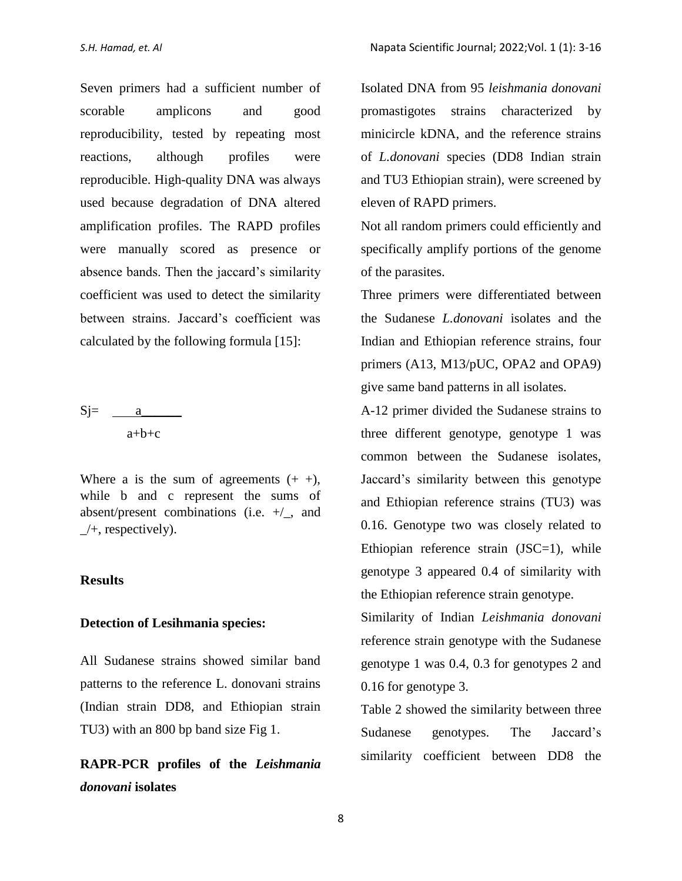Seven primers had a sufficient number of scorable amplicons and good reproducibility, tested by repeating most reactions, although profiles were reproducible. High-quality DNA was always used because degradation of DNA altered amplification profiles. The RAPD profiles were manually scored as presence or absence bands. Then the jaccard's similarity coefficient was used to detect the similarity between strains. Jaccard's coefficient was calculated by the following formula [15]:

 $Sj=$  a a+b+c

Where a is the sum of agreements  $(+ +)$ , while b and c represent the sums of absent/present combinations (i.e.  $+/-$ , and  $\perp$ +, respectively).

#### **Results**

#### **Detection of Lesihmania species:**

All Sudanese strains showed similar band patterns to the reference L. donovani strains (Indian strain DD8, and Ethiopian strain TU3) with an 800 bp band size Fig 1.

# **RAPR-PCR profiles of the** *Leishmania donovani* **isolates**

Isolated DNA from 95 *leishmania donovani* promastigotes strains characterized by minicircle kDNA, and the reference strains of *L.donovani* species (DD8 Indian strain and TU3 Ethiopian strain), were screened by eleven of RAPD primers.

Not all random primers could efficiently and specifically amplify portions of the genome of the parasites.

Three primers were differentiated between the Sudanese *L.donovani* isolates and the Indian and Ethiopian reference strains, four primers (A13, M13/pUC, OPA2 and OPA9) give same band patterns in all isolates.

A-12 primer divided the Sudanese strains to three different genotype, genotype 1 was common between the Sudanese isolates, Jaccard's similarity between this genotype and Ethiopian reference strains (TU3) was 0.16. Genotype two was closely related to Ethiopian reference strain (JSC=1), while genotype 3 appeared 0.4 of similarity with the Ethiopian reference strain genotype.

Similarity of Indian *Leishmania donovani* reference strain genotype with the Sudanese genotype 1 was 0.4, 0.3 for genotypes 2 and 0.16 for genotype 3.

Table 2 showed the similarity between three Sudanese genotypes. The Jaccard's similarity coefficient between DD8 the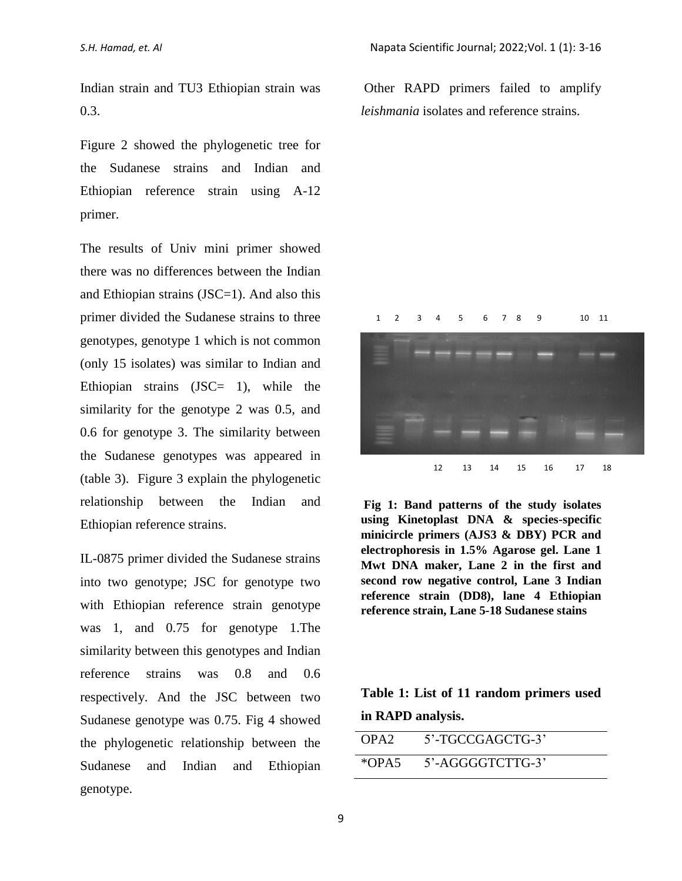Indian strain and TU3 Ethiopian strain was 0.3.

Figure 2 showed the phylogenetic tree for the Sudanese strains and Indian and Ethiopian reference strain using A-12 primer.

The results of Univ mini primer showed there was no differences between the Indian and Ethiopian strains (JSC=1). And also this primer divided the Sudanese strains to three genotypes, genotype 1 which is not common (only 15 isolates) was similar to Indian and Ethiopian strains (JSC= 1), while the similarity for the genotype 2 was 0.5, and 0.6 for genotype 3. The similarity between the Sudanese genotypes was appeared in (table 3). Figure 3 explain the phylogenetic relationship between the Indian and Ethiopian reference strains.

IL-0875 primer divided the Sudanese strains into two genotype; JSC for genotype two with Ethiopian reference strain genotype was 1, and 0.75 for genotype 1.The similarity between this genotypes and Indian reference strains was 0.8 and 0.6 respectively. And the JSC between two Sudanese genotype was 0.75. Fig 4 showed the phylogenetic relationship between the Sudanese and Indian and Ethiopian genotype.

Other RAPD primers failed to amplify *leishmania* isolates and reference strains.



**Fig 1: Band patterns of the study isolates using Kinetoplast DNA & species-specific minicircle primers (AJS3 & DBY) PCR and electrophoresis in 1.5% Agarose gel. Lane 1 Mwt DNA maker, Lane 2 in the first and second row negative control, Lane 3 Indian reference strain (DD8), lane 4 Ethiopian reference strain, Lane 5-18 Sudanese stains**

## **Table 1: List of 11 random primers used in RAPD analysis.**

| OPA <sub>2</sub> | 5'-TGCCGAGCTG-3' |
|------------------|------------------|
| $*OPA5$          | 5'-AGGGGTCTTG-3' |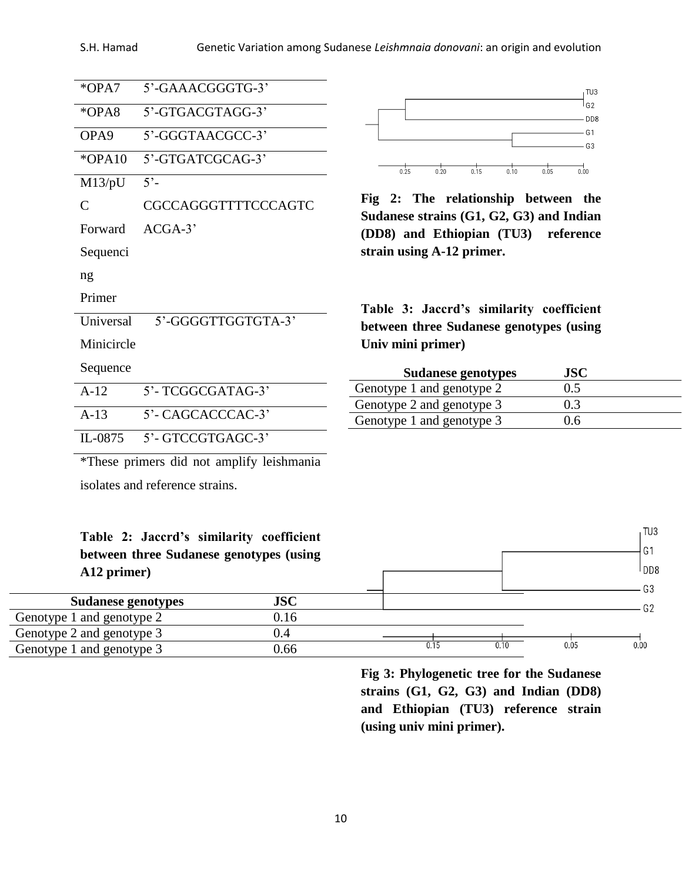#### S.H. Hamad Genetic Variation among Sudanese *Leishmnaia donovani*: an origin and evolution

| *OPA7                | 5'-GAAACGGGTG-3'                          |                                                                                     |                                  |  |  |  |
|----------------------|-------------------------------------------|-------------------------------------------------------------------------------------|----------------------------------|--|--|--|
|                      |                                           |                                                                                     | TU3<br>l G2                      |  |  |  |
| $*OPA8$              | 5'-GTGACGTAGG-3'                          |                                                                                     | D <sub>D</sub> <sub>8</sub>      |  |  |  |
| OPA <sub>9</sub>     | 5'-GGGTAACGCC-3'                          |                                                                                     | G <sub>1</sub><br>G <sub>3</sub> |  |  |  |
| *OPA10               | 5'-GTGATCGCAG-3'                          | 0.25<br>0.20<br>0.15<br>0.10                                                        | 0.05<br>0.00                     |  |  |  |
| M13/pU               | $5^{\circ}$                               |                                                                                     |                                  |  |  |  |
| $\mathcal{C}$        | CGCCAGGGTTTTCCCAGTC                       | Fig 2: The relationship between the<br>Sudanese strains (G1, G2, G3) and Indian     |                                  |  |  |  |
| $ACGA-3'$<br>Forward |                                           | (DD8) and Ethiopian (TU3) reference                                                 |                                  |  |  |  |
| Sequenci             |                                           | strain using A-12 primer.                                                           |                                  |  |  |  |
| ng                   |                                           |                                                                                     |                                  |  |  |  |
| Primer               |                                           |                                                                                     |                                  |  |  |  |
| Universal            | 5'-GGGGTTGGTGTA-3'                        | Table 3: Jaccrd's similarity coefficient<br>between three Sudanese genotypes (using |                                  |  |  |  |
| Minicircle           |                                           | Univ mini primer)                                                                   |                                  |  |  |  |
| Sequence             |                                           | <b>Sudanese genotypes</b>                                                           | <b>JSC</b>                       |  |  |  |
| $A-12$               | 5'-TCGGCGATAG-3'                          | Genotype 1 and genotype 2                                                           | 0.5                              |  |  |  |
|                      |                                           | Genotype 2 and genotype 3                                                           | 0.3                              |  |  |  |
| $A-13$               | 5'- CAGCACCCAC-3'                         | Genotype 1 and genotype 3                                                           | 0.6                              |  |  |  |
| IL-0875              | 5'-GTCCGTGAGC-3'                          |                                                                                     |                                  |  |  |  |
|                      | *These primers did not amplify leishmania |                                                                                     |                                  |  |  |  |

isolates and reference strains.

|             |  | Table 2: Jaccrd's similarity coefficient |
|-------------|--|------------------------------------------|
|             |  | between three Sudanese genotypes (using  |
| A12 primer) |  |                                          |

| <b>Sudanese genotypes</b> | <b>JSC</b> |  |      |      |
|---------------------------|------------|--|------|------|
| Genotype 1 and genotype 2 | 0.16       |  |      |      |
| Genotype 2 and genotype 3 |            |  |      |      |
| Genotype 1 and genotype 3 | ).66       |  | 0.05 | 0.00 |

 $\Gamma$ 

**Fig 3: Phylogenetic tree for the Sudanese strains (G1, G2, G3) and Indian (DD8) and Ethiopian (TU3) reference strain (using univ mini primer).**

TU3  $G1$ l<sub>DD8</sub>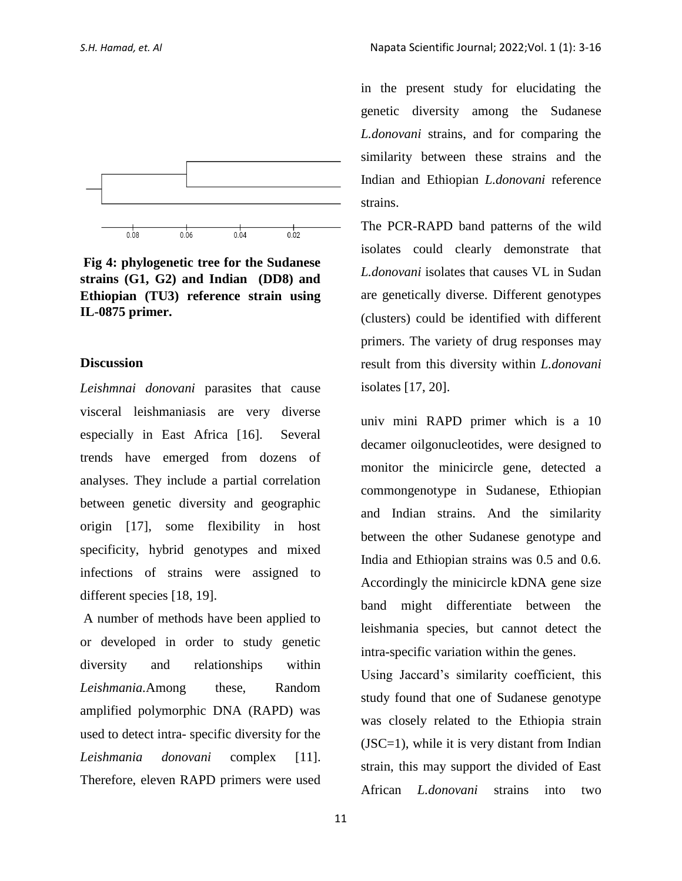

**Fig 4: phylogenetic tree for the Sudanese strains (G1, G2) and Indian (DD8) and Ethiopian (TU3) reference strain using IL-0875 primer.**

#### **Discussion**

*Leishmnai donovani* parasites that cause visceral leishmaniasis are very diverse especially in East Africa [16]. Several trends have emerged from dozens of analyses. They include a partial correlation between genetic diversity and geographic origin [17], some flexibility in host specificity, hybrid genotypes and mixed infections of strains were assigned to different species [18, 19].

A number of methods have been applied to or developed in order to study genetic diversity and relationships within *Leishmania.*Among these, Random amplified polymorphic DNA (RAPD) was used to detect intra- specific diversity for the *Leishmania donovani* complex [11]. Therefore, eleven RAPD primers were used in the present study for elucidating the genetic diversity among the Sudanese *L.donovani* strains, and for comparing the similarity between these strains and the Indian and Ethiopian *L.donovani* reference strains.

The PCR-RAPD band patterns of the wild isolates could clearly demonstrate that *L.donovani* isolates that causes VL in Sudan are genetically diverse. Different genotypes (clusters) could be identified with different primers. The variety of drug responses may result from this diversity within *L.donovani* isolates [17, 20].

univ mini RAPD primer which is a 10 decamer oilgonucleotides, were designed to monitor the minicircle gene, detected a commongenotype in Sudanese, Ethiopian and Indian strains. And the similarity between the other Sudanese genotype and India and Ethiopian strains was 0.5 and 0.6. Accordingly the minicircle kDNA gene size band might differentiate between the leishmania species, but cannot detect the intra-specific variation within the genes.

Using Jaccard's similarity coefficient, this study found that one of Sudanese genotype was closely related to the Ethiopia strain (JSC=1), while it is very distant from Indian strain, this may support the divided of East African *L.donovani* strains into two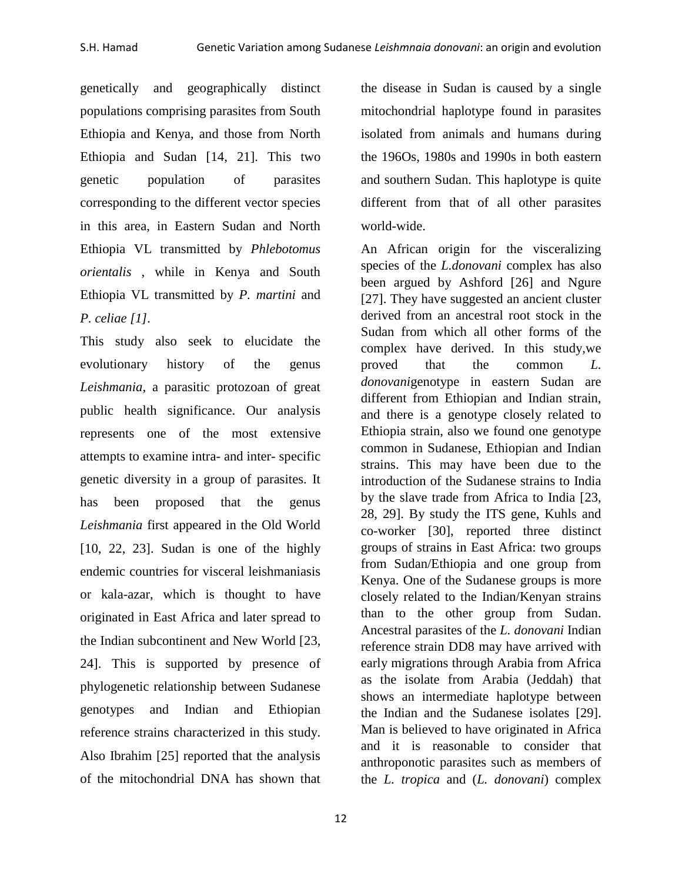genetically and geographically distinct populations comprising parasites from South Ethiopia and Kenya, and those from North Ethiopia and Sudan [14, 21]. This two genetic population of parasites corresponding to the different vector species in this area, in Eastern Sudan and North Ethiopia VL transmitted by *Phlebotomus orientalis* , while in Kenya and South Ethiopia VL transmitted by *P. martini* and *P. celiae [1].* 

This study also seek to elucidate the evolutionary history of the genus *Leishmania*, a parasitic protozoan of great public health significance. Our analysis represents one of the most extensive attempts to examine intra- and inter- specific genetic diversity in a group of parasites. It has been proposed that the genus *Leishmania* first appeared in the Old World [10, 22, 23]. Sudan is one of the highly endemic countries for visceral leishmaniasis or kala-azar, which is thought to have originated in East Africa and later spread to the Indian subcontinent and New World [23, 24]. This is supported by presence of phylogenetic relationship between Sudanese genotypes and Indian and Ethiopian reference strains characterized in this study. Also Ibrahim [25] reported that the analysis of the mitochondrial DNA has shown that

the disease in Sudan is caused by a single mitochondrial haplotype found in parasites isolated from animals and humans during the 196Os, 1980s and 1990s in both eastern and southern Sudan. This haplotype is quite different from that of all other parasites world-wide.

An African origin for the visceralizing species of the *L.donovani* complex has also been argued by Ashford [26] and Ngure [27]. They have suggested an ancient cluster derived from an ancestral root stock in the Sudan from which all other forms of the complex have derived. In this study,we proved that the common *L. donovani*genotype in eastern Sudan are different from Ethiopian and Indian strain, and there is a genotype closely related to Ethiopia strain, also we found one genotype common in Sudanese, Ethiopian and Indian strains. This may have been due to the introduction of the Sudanese strains to India by the slave trade from Africa to India [23, 28, 29]. By study the ITS gene, Kuhls and co-worker [30], reported three distinct groups of strains in East Africa: two groups from Sudan/Ethiopia and one group from Kenya. One of the Sudanese groups is more closely related to the Indian/Kenyan strains than to the other group from Sudan. Ancestral parasites of the *L. donovani* Indian reference strain DD8 may have arrived with early migrations through Arabia from Africa as the isolate from Arabia (Jeddah) that shows an intermediate haplotype between the Indian and the Sudanese isolates [29]. Man is believed to have originated in Africa and it is reasonable to consider that anthroponotic parasites such as members of the *L. tropica* and (*L. donovani*) complex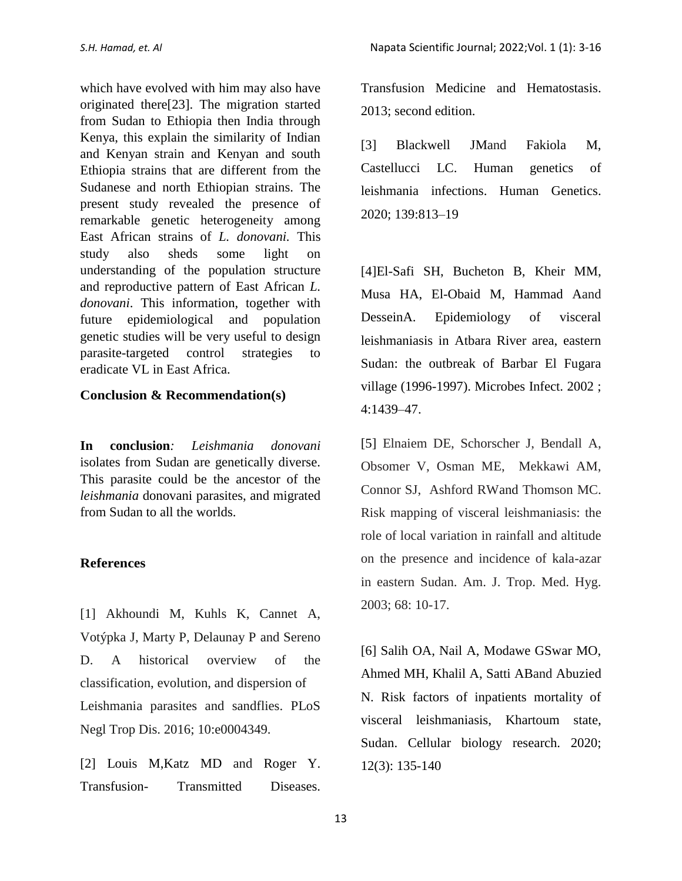which have evolved with him may also have originated there[23]. The migration started from Sudan to Ethiopia then India through Kenya, this explain the similarity of Indian and Kenyan strain and Kenyan and south Ethiopia strains that are different from the Sudanese and north Ethiopian strains. The present study revealed the presence of remarkable genetic heterogeneity among East African strains of *L. donovani.* This study also sheds some light on understanding of the population structure and reproductive pattern of East African *L. donovani*. This information, together with future epidemiological and population genetic studies will be very useful to design parasite-targeted control strategies to eradicate VL in East Africa.

#### **Conclusion & Recommendation(s)**

**In conclusion***: Leishmania donovani*  isolates from Sudan are genetically diverse. This parasite could be the ancestor of the *leishmania* donovani parasites, and migrated from Sudan to all the worlds.

#### **References**

[1] Akhoundi M, Kuhls K, Cannet A, Votýpka J, Marty P, Delaunay P and Sereno D. A historical overview of the classification, evolution, and dispersion of Leishmania parasites and sandflies. PLoS Negl Trop Dis. 2016; 10:e0004349.

[2] Louis M, Katz MD and Roger Y. Transfusion- Transmitted Diseases.

Transfusion Medicine and Hematostasis. 2013; second edition.

[3] Blackwell JMand Fakiola M, Castellucci LC. Human genetics of leishmania infections. Human Genetics. 2020; 139:813–19

[4]El-Safi SH, Bucheton B, Kheir MM, Musa HA, El-Obaid M, Hammad Aand DesseinA. Epidemiology of visceral leishmaniasis in Atbara River area, eastern Sudan: the outbreak of Barbar El Fugara village (1996-1997). Microbes Infect. 2002 ; 4:1439–47.

[5] Elnaiem DE, Schorscher J, Bendall A, Obsomer V, Osman ME, Mekkawi AM, Connor SJ, Ashford RWand Thomson MC. Risk mapping of visceral leishmaniasis: the role of local variation in rainfall and altitude on the presence and incidence of kala-azar in eastern Sudan. Am. J. Trop. Med. Hyg. 2003; 68: 10-17.

[6] Salih OA, Nail A, Modawe GSwar MO, Ahmed MH, Khalil A, Satti ABand Abuzied N. Risk factors of inpatients mortality of visceral leishmaniasis, Khartoum state, Sudan. Cellular biology research. 2020; 12(3): 135-140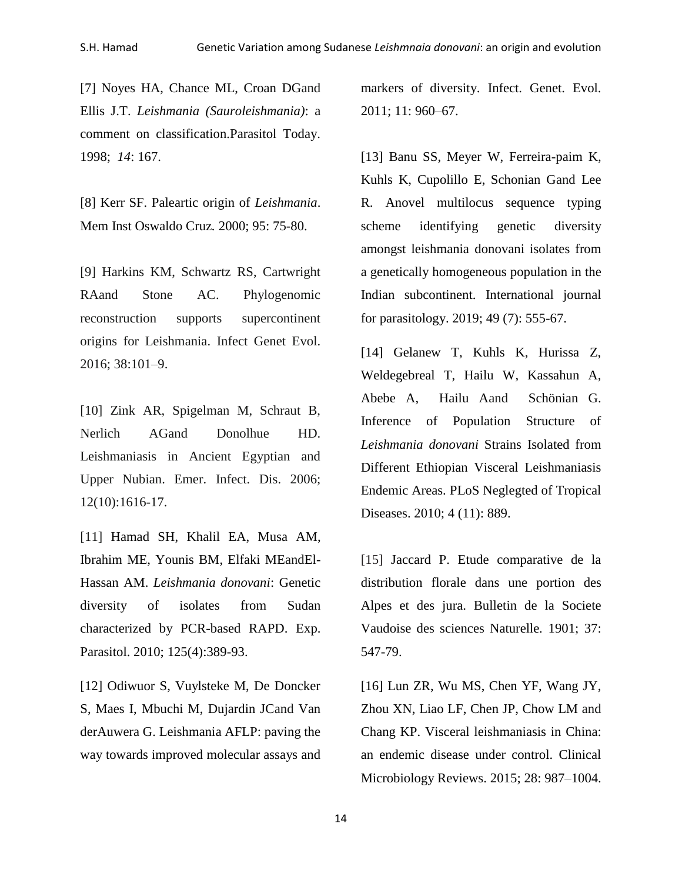[7] Noyes HA, Chance ML, Croan DGand Ellis J.T. *Leishmania (Sauroleishmania)*: a comment on classification.Parasitol Today. 1998; *14*: 167.

[8] Kerr SF. Paleartic origin of *Leishmania*. Mem Inst Oswaldo Cruz*.* 2000; 95: 75-80.

[9] Harkins KM, Schwartz RS, Cartwright RAand Stone AC. Phylogenomic reconstruction supports supercontinent origins for Leishmania. Infect Genet Evol. 2016; 38:101–9.

[10] Zink AR, Spigelman M, Schraut B, Nerlich AGand Donolhue HD. Leishmaniasis in Ancient Egyptian and Upper Nubian. Emer. Infect. Dis. 2006; 12(10):1616-17.

[11] [Hamad SH,](http://www.ncbi.nlm.nih.gov/pubmed?term=%22Hamad%20SH%22%5BAuthor%5D) [Khalil EA,](http://www.ncbi.nlm.nih.gov/pubmed?term=%22Khalil%20EA%22%5BAuthor%5D) [Musa AM,](http://www.ncbi.nlm.nih.gov/pubmed?term=%22Musa%20AM%22%5BAuthor%5D) [Ibrahim ME,](http://www.ncbi.nlm.nih.gov/pubmed?term=%22Ibrahim%20ME%22%5BAuthor%5D) [Younis BM,](http://www.ncbi.nlm.nih.gov/pubmed?term=%22Younis%20BM%22%5BAuthor%5D) [Elfaki MEa](http://www.ncbi.nlm.nih.gov/pubmed?term=%22Elfaki%20ME%22%5BAuthor%5D)n[dEl-](http://www.ncbi.nlm.nih.gov/pubmed?term=%22El-Hassan%20AM%22%5BAuthor%5D)[Hassan AM.](http://www.ncbi.nlm.nih.gov/pubmed?term=%22El-Hassan%20AM%22%5BAuthor%5D) *Leishmania donovani*: Genetic diversity of isolates from Sudan characterized by PCR-based RAPD. Exp. Parasitol. 2010; 125(4):389-93.

[12] Odiwuor S, Vuylsteke M, De Doncker S, Maes I, Mbuchi M, Dujardin JCand Van derAuwera G. Leishmania AFLP: paving the way towards improved molecular assays and markers of diversity. Infect. Genet. Evol. 2011; 11: 960–67.

[13] Banu SS, Meyer W, Ferreira-paim K, Kuhls K, Cupolillo E, Schonian Gand Lee R. Anovel multilocus sequence typing scheme identifying genetic diversity amongst leishmania donovani isolates from a genetically homogeneous population in the Indian subcontinent. International journal for parasitology. 2019; 49 (7): 555-67.

[14] Gelanew T, Kuhls K, Hurissa Z, Weldegebreal T, Hailu W, Kassahun A, Abebe A, Hailu Aand Schönian G. Inference of Population Structure of *Leishmania donovani* Strains Isolated from Different Ethiopian Visceral Leishmaniasis Endemic Areas. PLoS Neglegted of Tropical Diseases. 2010; 4 (11): 889.

[15] Jaccard P. Etude comparative de la distribution florale dans une portion des Alpes et des jura. Bulletin de la Societe Vaudoise des sciences Naturelle*.* 1901; 37: 547-79.

[16] Lun ZR, Wu MS, Chen YF, Wang JY, Zhou XN, Liao LF, Chen JP, Chow LM and Chang KP. Visceral leishmaniasis in China: an endemic disease under control. Clinical Microbiology Reviews. 2015; 28: 987–1004.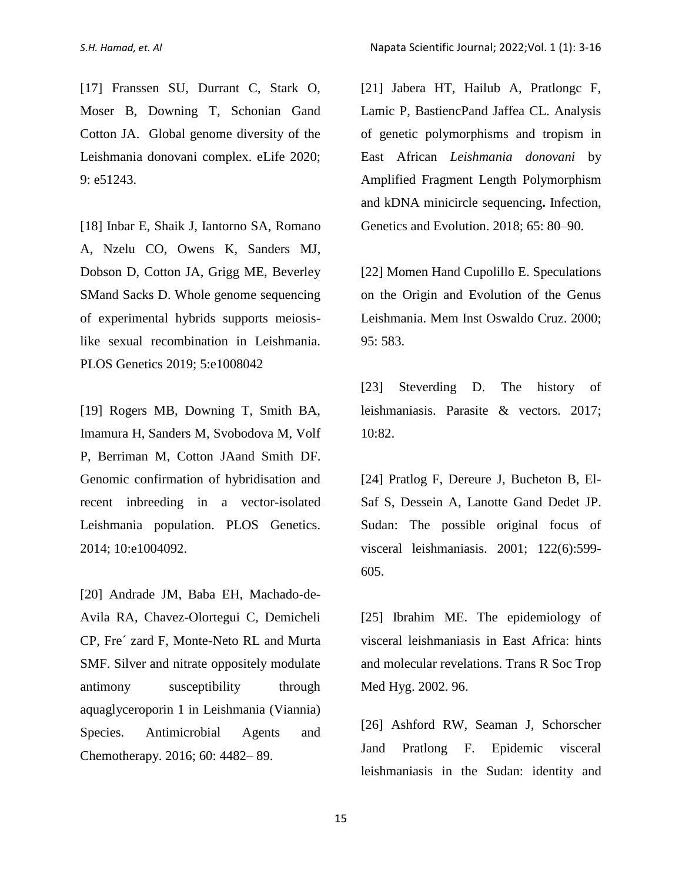[17] Franssen SU, Durrant C, Stark O, Moser B, Downing T, Schonian Gand Cotton JA. Global genome diversity of the Leishmania donovani complex. eLife 2020; 9: e51243.

[18] Inbar E, Shaik J, Iantorno SA, Romano A, Nzelu CO, Owens K, Sanders MJ, Dobson D, Cotton JA, Grigg ME, Beverley SMand Sacks D. Whole genome sequencing of experimental hybrids supports meiosislike sexual recombination in Leishmania. PLOS Genetics 2019; 5:e1008042

[19] Rogers MB, Downing T, Smith BA, Imamura H, Sanders M, Svobodova M, Volf P, Berriman M, Cotton JAand Smith DF. Genomic confirmation of hybridisation and recent inbreeding in a vector-isolated Leishmania population. PLOS Genetics. 2014; 10:e1004092.

[20] Andrade JM, Baba EH, Machado-de-Avila RA, Chavez-Olortegui C, Demicheli CP, Fre´ zard F, Monte-Neto RL and Murta SMF. Silver and nitrate oppositely modulate antimony susceptibility through aquaglyceroporin 1 in Leishmania (Viannia) Species. Antimicrobial Agents and Chemotherapy. 2016; 60: 4482– 89.

[21] Jabera HT, Hailub A, Pratlongc F, Lamic P, BastiencPand Jaffea CL. Analysis of genetic polymorphisms and tropism in East African *Leishmania donovani* by Amplified Fragment Length Polymorphism and kDNA minicircle sequencing**.** Infection, Genetics and Evolution. 2018; 65: 80–90.

[22] Momen Hand Cupolillo E. Speculations on the Origin and Evolution of the Genus Leishmania. Mem Inst Oswaldo Cruz. 2000; 95: 583.

[23] Steverding D. The history of leishmaniasis. Parasite & vectors. 2017; 10:82.

[24] Pratlog F, Dereure J, Bucheton B, El-Saf S, Dessein A, Lanotte Gand Dedet JP. Sudan: The possible original focus of visceral leishmaniasis. 2001; 122(6):599- 605.

[25] Ibrahim ME. The epidemiology of visceral leishmaniasis in East Africa: hints and molecular revelations. Trans R Soc Trop Med Hyg. 2002. 96.

[26] Ashford RW, Seaman J, Schorscher Jand Pratlong F. Epidemic visceral leishmaniasis in the Sudan: identity and